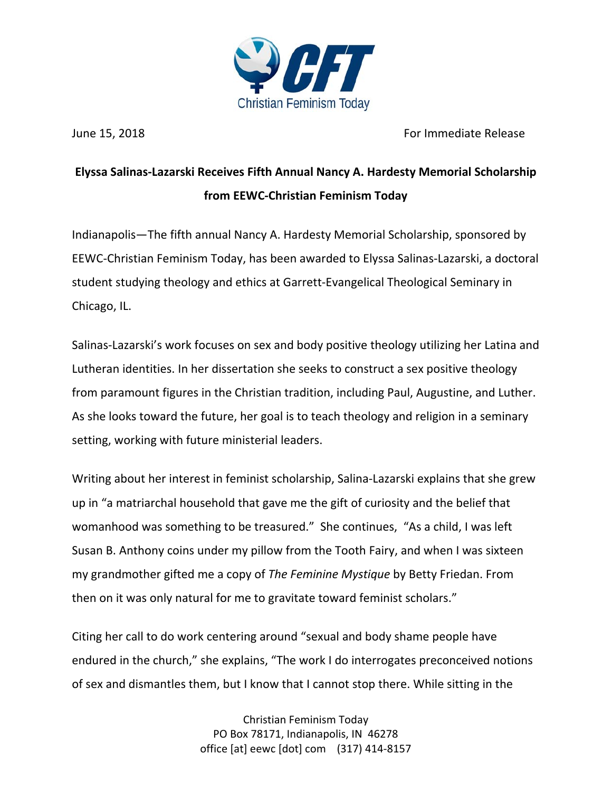

June 15, 2018 For Immediate Release

## **Elyssa Salinas‐Lazarski Receives Fifth Annual Nancy A. Hardesty Memorial Scholarship from EEWC‐Christian Feminism Today**

Indianapolis—The fifth annual Nancy A. Hardesty Memorial Scholarship, sponsored by EEWC‐Christian Feminism Today, has been awarded to Elyssa Salinas‐Lazarski, a doctoral student studying theology and ethics at Garrett‐Evangelical Theological Seminary in Chicago, IL.

Salinas‐Lazarski's work focuses on sex and body positive theology utilizing her Latina and Lutheran identities. In her dissertation she seeks to construct a sex positive theology from paramount figures in the Christian tradition, including Paul, Augustine, and Luther. As she looks toward the future, her goal is to teach theology and religion in a seminary setting, working with future ministerial leaders.

Writing about her interest in feminist scholarship, Salina‐Lazarski explains that she grew up in "a matriarchal household that gave me the gift of curiosity and the belief that womanhood was something to be treasured." She continues, "As a child, I was left Susan B. Anthony coins under my pillow from the Tooth Fairy, and when I was sixteen my grandmother gifted me a copy of *The Feminine Mystique* by Betty Friedan. From then on it was only natural for me to gravitate toward feminist scholars."

Citing her call to do work centering around "sexual and body shame people have endured in the church," she explains, "The work I do interrogates preconceived notions of sex and dismantles them, but I know that I cannot stop there. While sitting in the

> Christian Feminism Today PO Box 78171, Indianapolis, IN 46278 office [at] eewc [dot] com (317) 414‐8157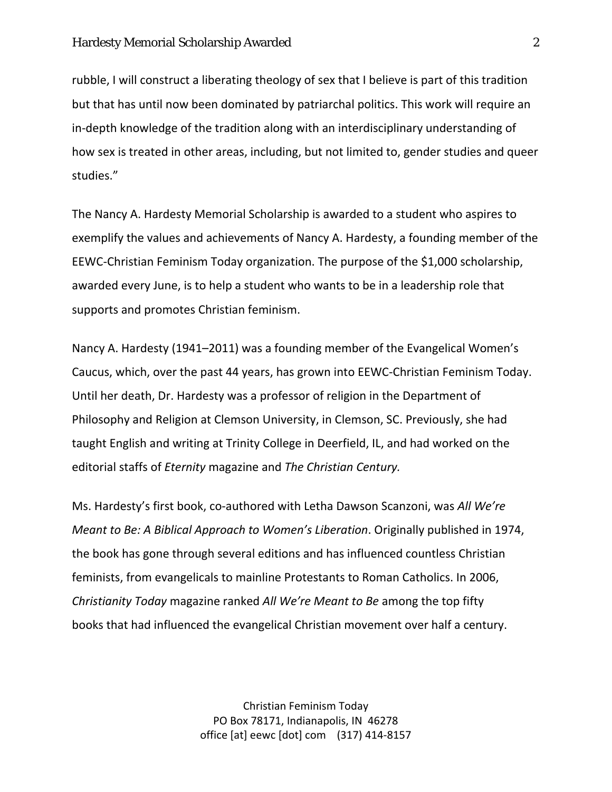## Hardesty Memorial Scholarship Awarded 2

rubble, I will construct a liberating theology of sex that I believe is part of this tradition but that has until now been dominated by patriarchal politics. This work will require an in‐depth knowledge of the tradition along with an interdisciplinary understanding of how sex is treated in other areas, including, but not limited to, gender studies and queer studies."

The Nancy A. Hardesty Memorial Scholarship is awarded to a student who aspires to exemplify the values and achievements of Nancy A. Hardesty, a founding member of the EEWC‐Christian Feminism Today organization. The purpose of the \$1,000 scholarship, awarded every June, is to help a student who wants to be in a leadership role that supports and promotes Christian feminism.

Nancy A. Hardesty (1941–2011) was a founding member of the Evangelical Women's Caucus, which, over the past 44 years, has grown into EEWC‐Christian Feminism Today. Until her death, Dr. Hardesty was a professor of religion in the Department of Philosophy and Religion at Clemson University, in Clemson, SC. Previously, she had taught English and writing at Trinity College in Deerfield, IL, and had worked on the editorial staffs of *Eternity* magazine and *The Christian Century.*

Ms. Hardesty's first book, co‐authored with Letha Dawson Scanzoni, was *All We're Meant to Be: A Biblical Approach to Women's Liberation*. Originally published in 1974, the book has gone through several editions and has influenced countless Christian feminists, from evangelicals to mainline Protestants to Roman Catholics. In 2006, *Christianity Today* magazine ranked *All We're Meant to Be* among the top fifty books that had influenced the evangelical Christian movement over half a century.

> Christian Feminism Today PO Box 78171, Indianapolis, IN 46278 office [at] eewc [dot] com (317) 414‐8157